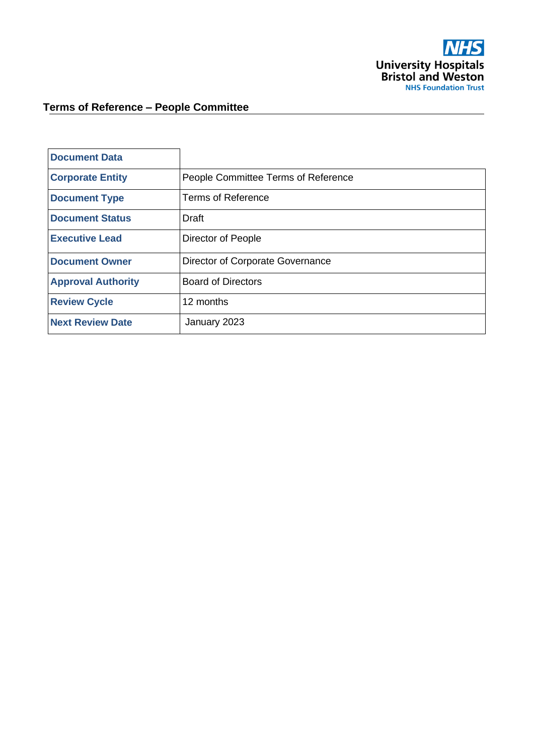

# **Terms of Reference – People Committee**

| <b>Document Data</b>      |                                     |
|---------------------------|-------------------------------------|
| <b>Corporate Entity</b>   | People Committee Terms of Reference |
| <b>Document Type</b>      | <b>Terms of Reference</b>           |
| <b>Document Status</b>    | Draft                               |
| <b>Executive Lead</b>     | Director of People                  |
| <b>Document Owner</b>     | Director of Corporate Governance    |
| <b>Approval Authority</b> | <b>Board of Directors</b>           |
| <b>Review Cycle</b>       | 12 months                           |
| <b>Next Review Date</b>   | January 2023                        |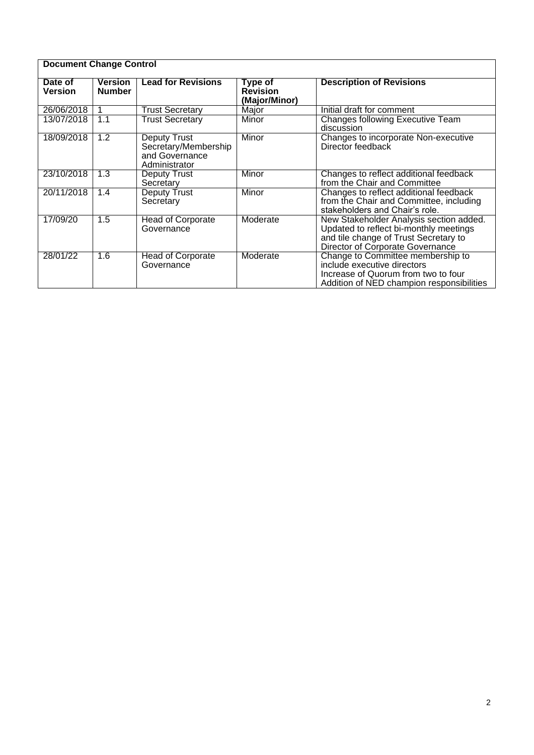| <b>Document Change Control</b> |                                 |                                                                                |                                             |                                                                                                                                                                |  |
|--------------------------------|---------------------------------|--------------------------------------------------------------------------------|---------------------------------------------|----------------------------------------------------------------------------------------------------------------------------------------------------------------|--|
| Date of<br><b>Version</b>      | <b>Version</b><br><b>Number</b> | <b>Lead for Revisions</b>                                                      | Type of<br><b>Revision</b><br>(Major/Minor) | <b>Description of Revisions</b>                                                                                                                                |  |
| 26/06/2018                     |                                 | <b>Trust Secretary</b>                                                         | Major                                       | Initial draft for comment                                                                                                                                      |  |
| 13/07/2018                     | 1.1                             | <b>Trust Secretary</b>                                                         | Minor                                       | Changes following Executive Team<br>discussion                                                                                                                 |  |
| 18/09/2018                     | 1.2                             | <b>Deputy Trust</b><br>Secretary/Membership<br>and Governance<br>Administrator | Minor                                       | Changes to incorporate Non-executive<br>Director feedback                                                                                                      |  |
| 23/10/2018                     | 1.3                             | Deputy Trust<br>Secretary                                                      | Minor                                       | Changes to reflect additional feedback<br>from the Chair and Committee                                                                                         |  |
| 20/11/2018                     | 1.4                             | Deputy Trust<br>Secretary                                                      | Minor                                       | Changes to reflect additional feedback<br>from the Chair and Committee, including<br>stakeholders and Chair's role.                                            |  |
| 17/09/20                       | 1.5                             | <b>Head of Corporate</b><br>Governance                                         | Moderate                                    | New Stakeholder Analysis section added.<br>Updated to reflect bi-monthly meetings<br>and tile change of Trust Secretary to<br>Director of Corporate Governance |  |
| 28/01/22                       | 1.6                             | Head of Corporate<br>Governance                                                | Moderate                                    | Change to Committee membership to<br>include executive directors<br>Increase of Quorum from two to four<br>Addition of NED champion responsibilities           |  |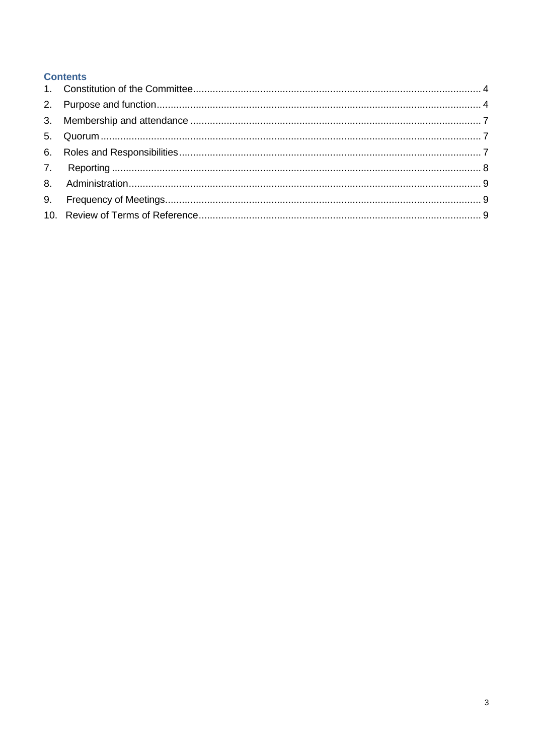# **Contents**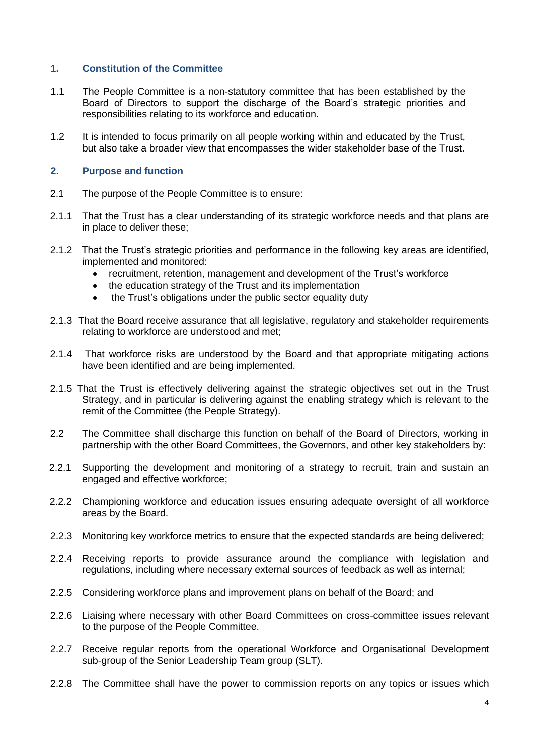#### <span id="page-3-0"></span>**1. Constitution of the Committee**

- 1.1 The People Committee is a non-statutory committee that has been established by the Board of Directors to support the discharge of the Board's strategic priorities and responsibilities relating to its workforce and education.
- 1.2 It is intended to focus primarily on all people working within and educated by the Trust, but also take a broader view that encompasses the wider stakeholder base of the Trust.

#### <span id="page-3-1"></span>**2. Purpose and function**

- 2.1 The purpose of the People Committee is to ensure:
- 2.1.1 That the Trust has a clear understanding of its strategic workforce needs and that plans are in place to deliver these;
- 2.1.2 That the Trust's strategic priorities and performance in the following key areas are identified, implemented and monitored:
	- recruitment, retention, management and development of the Trust's workforce
	- the education strategy of the Trust and its implementation
	- the Trust's obligations under the public sector equality duty
- 2.1.3 That the Board receive assurance that all legislative, regulatory and stakeholder requirements relating to workforce are understood and met;
- 2.1.4 That workforce risks are understood by the Board and that appropriate mitigating actions have been identified and are being implemented.
- 2.1.5 That the Trust is effectively delivering against the strategic objectives set out in the Trust Strategy, and in particular is delivering against the enabling strategy which is relevant to the remit of the Committee (the People Strategy).
- 2.2 The Committee shall discharge this function on behalf of the Board of Directors, working in partnership with the other Board Committees, the Governors, and other key stakeholders by:
- 2.2.1 Supporting the development and monitoring of a strategy to recruit, train and sustain an engaged and effective workforce;
- 2.2.2 Championing workforce and education issues ensuring adequate oversight of all workforce areas by the Board.
- 2.2.3 Monitoring key workforce metrics to ensure that the expected standards are being delivered;
- 2.2.4 Receiving reports to provide assurance around the compliance with legislation and regulations, including where necessary external sources of feedback as well as internal;
- 2.2.5 Considering workforce plans and improvement plans on behalf of the Board; and
- 2.2.6 Liaising where necessary with other Board Committees on cross-committee issues relevant to the purpose of the People Committee.
- 2.2.7 Receive regular reports from the operational Workforce and Organisational Development sub-group of the Senior Leadership Team group (SLT).
- 2.2.8 The Committee shall have the power to commission reports on any topics or issues which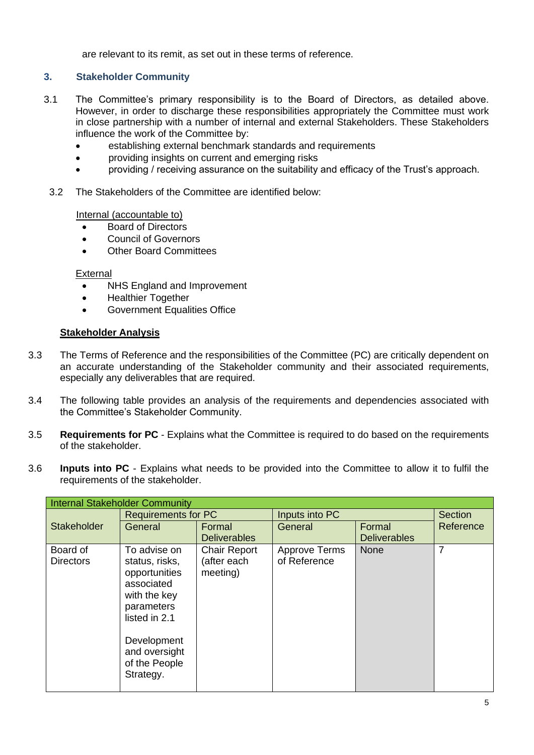are relevant to its remit, as set out in these terms of reference.

## **3. Stakeholder Community**

- 3.1 The Committee's primary responsibility is to the Board of Directors, as detailed above. However, in order to discharge these responsibilities appropriately the Committee must work in close partnership with a number of internal and external Stakeholders. These Stakeholders influence the work of the Committee by:
	- establishing external benchmark standards and requirements
	- providing insights on current and emerging risks
	- providing / receiving assurance on the suitability and efficacy of the Trust's approach.
- 3.2 The Stakeholders of the Committee are identified below:

Internal (accountable to)

- Board of Directors
- Council of Governors
- **Other Board Committees**

#### External

- NHS England and Improvement
- Healthier Together
- Government Equalities Office

## **Stakeholder Analysis**

- 3.3 The Terms of Reference and the responsibilities of the Committee (PC) are critically dependent on an accurate understanding of the Stakeholder community and their associated requirements, especially any deliverables that are required.
- 3.4 The following table provides an analysis of the requirements and dependencies associated with the Committee's Stakeholder Community.
- 3.5 **Requirements for PC** Explains what the Committee is required to do based on the requirements of the stakeholder.
- 3.6 **Inputs into PC** Explains what needs to be provided into the Committee to allow it to fulfil the requirements of the stakeholder.

| <b>Internal Stakeholder Community</b> |                            |                     |                      |                     |                |  |
|---------------------------------------|----------------------------|---------------------|----------------------|---------------------|----------------|--|
|                                       | <b>Requirements for PC</b> |                     | Inputs into PC       |                     | <b>Section</b> |  |
| <b>Stakeholder</b>                    | General                    | Formal              | General              | Formal              | Reference      |  |
|                                       |                            | <b>Deliverables</b> |                      | <b>Deliverables</b> |                |  |
| Board of                              | To advise on               | <b>Chair Report</b> | <b>Approve Terms</b> | <b>None</b>         | 7              |  |
| <b>Directors</b>                      | status, risks,             | (after each         | of Reference         |                     |                |  |
|                                       | opportunities              | meeting)            |                      |                     |                |  |
|                                       | associated                 |                     |                      |                     |                |  |
|                                       | with the key               |                     |                      |                     |                |  |
|                                       | parameters                 |                     |                      |                     |                |  |
|                                       | listed in 2.1              |                     |                      |                     |                |  |
|                                       |                            |                     |                      |                     |                |  |
|                                       | Development                |                     |                      |                     |                |  |
|                                       | and oversight              |                     |                      |                     |                |  |
|                                       | of the People              |                     |                      |                     |                |  |
|                                       | Strategy.                  |                     |                      |                     |                |  |
|                                       |                            |                     |                      |                     |                |  |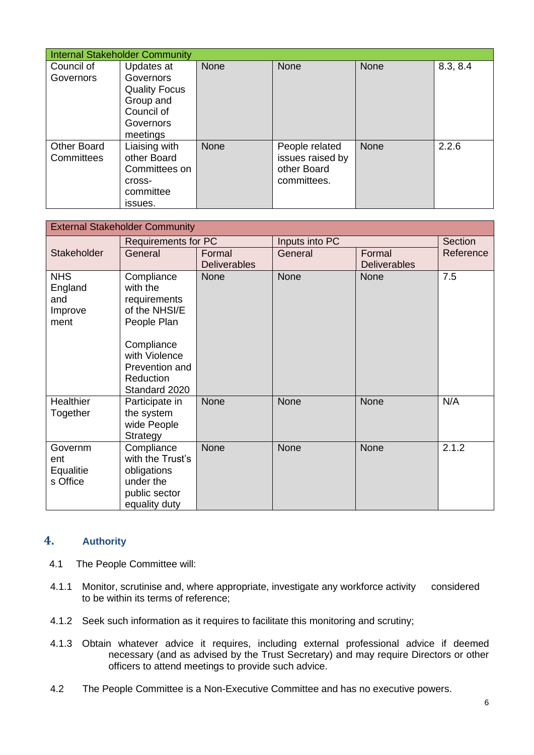| <b>Internal Stakeholder Community</b> |                      |      |                  |             |          |
|---------------------------------------|----------------------|------|------------------|-------------|----------|
| Council of                            | Updates at           | None | <b>None</b>      | <b>None</b> | 8.3, 8.4 |
| Governors                             | Governors            |      |                  |             |          |
|                                       | <b>Quality Focus</b> |      |                  |             |          |
|                                       | Group and            |      |                  |             |          |
|                                       | Council of           |      |                  |             |          |
|                                       | Governors            |      |                  |             |          |
|                                       | meetings             |      |                  |             |          |
| <b>Other Board</b>                    | Liaising with        | None | People related   | <b>None</b> | 2.2.6    |
| Committees                            | other Board          |      | issues raised by |             |          |
|                                       | Committees on        |      | other Board      |             |          |
|                                       | cross-               |      | committees.      |             |          |
|                                       | committee            |      |                  |             |          |
|                                       | issues.              |      |                  |             |          |

| <b>External Stakeholder Community</b>           |                                                                                                                                                       |                                              |         |                               |           |
|-------------------------------------------------|-------------------------------------------------------------------------------------------------------------------------------------------------------|----------------------------------------------|---------|-------------------------------|-----------|
|                                                 |                                                                                                                                                       | Inputs into PC<br><b>Requirements for PC</b> |         | Section                       |           |
| Stakeholder                                     | General                                                                                                                                               | Formal<br><b>Deliverables</b>                | General | Formal<br><b>Deliverables</b> | Reference |
| <b>NHS</b><br>England<br>and<br>Improve<br>ment | Compliance<br>with the<br>requirements<br>of the NHSI/E<br>People Plan<br>Compliance<br>with Violence<br>Prevention and<br>Reduction<br>Standard 2020 | <b>None</b>                                  | None    | <b>None</b>                   | 7.5       |
| <b>Healthier</b><br>Together                    | Participate in<br>the system<br>wide People<br>Strategy                                                                                               | <b>None</b>                                  | None    | None                          | N/A       |
| Governm<br>ent<br>Equalitie<br>s Office         | Compliance<br>with the Trust's<br>obligations<br>under the<br>public sector<br>equality duty                                                          | None                                         | None    | None                          | 2.1.2     |

# **4. Authority**

- 4.1 The People Committee will:
- 4.1.1 Monitor, scrutinise and, where appropriate, investigate any workforce activity considered to be within its terms of reference;
- 4.1.2 Seek such information as it requires to facilitate this monitoring and scrutiny;
- 4.1.3 Obtain whatever advice it requires, including external professional advice if deemed necessary (and as advised by the Trust Secretary) and may require Directors or other officers to attend meetings to provide such advice.
- 4.2 The People Committee is a Non-Executive Committee and has no executive powers.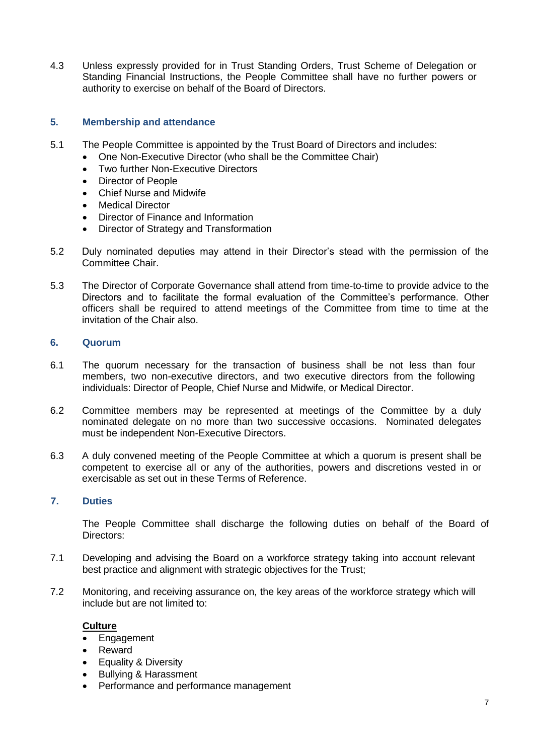4.3 Unless expressly provided for in Trust Standing Orders, Trust Scheme of Delegation or Standing Financial Instructions, the People Committee shall have no further powers or authority to exercise on behalf of the Board of Directors.

## <span id="page-6-0"></span>**5. Membership and attendance**

- 5.1 The People Committee is appointed by the Trust Board of Directors and includes:
	- One Non-Executive Director (who shall be the Committee Chair)
	- **Two further Non-Executive Directors**
	- Director of People
	- Chief Nurse and Midwife
	- Medical Director
	- Director of Finance and Information
	- Director of Strategy and Transformation
- 5.2 Duly nominated deputies may attend in their Director's stead with the permission of the Committee Chair.
- 5.3 The Director of Corporate Governance shall attend from time-to-time to provide advice to the Directors and to facilitate the formal evaluation of the Committee's performance. Other officers shall be required to attend meetings of the Committee from time to time at the invitation of the Chair also.

#### <span id="page-6-1"></span>**6. Quorum**

- 6.1 The quorum necessary for the transaction of business shall be not less than four members, two non-executive directors, and two executive directors from the following individuals: Director of People, Chief Nurse and Midwife, or Medical Director.
- 6.2 Committee members may be represented at meetings of the Committee by a duly nominated delegate on no more than two successive occasions. Nominated delegates must be independent Non-Executive Directors.
- 6.3 A duly convened meeting of the People Committee at which a quorum is present shall be competent to exercise all or any of the authorities, powers and discretions vested in or exercisable as set out in these Terms of Reference.

## <span id="page-6-2"></span>**7. Duties**

The People Committee shall discharge the following duties on behalf of the Board of Directors:

- 7.1 Developing and advising the Board on a workforce strategy taking into account relevant best practice and alignment with strategic objectives for the Trust;
- 7.2 Monitoring, and receiving assurance on, the key areas of the workforce strategy which will include but are not limited to:

## **Culture**

- Engagement
- Reward
- Equality & Diversity
- Bullying & Harassment
- Performance and performance management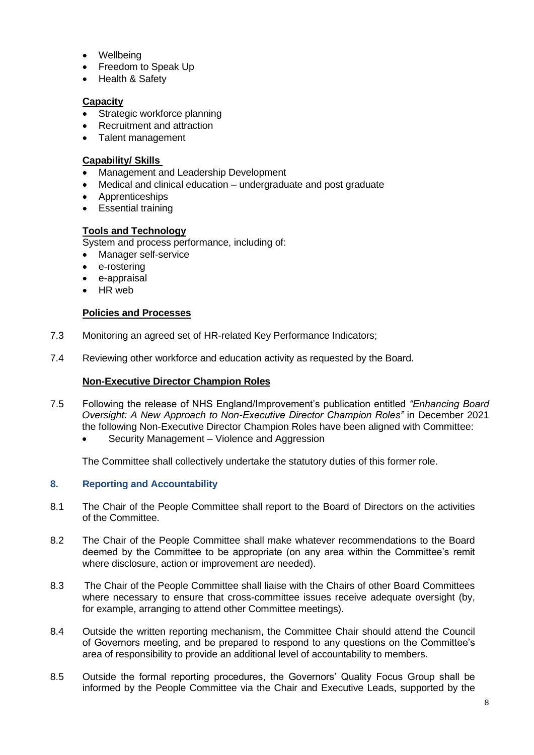- **Wellbeing**
- Freedom to Speak Up
- Health & Safety

## **Capacity**

- Strategic workforce planning
- Recruitment and attraction
- Talent management

## **Capability/ Skills**

- Management and Leadership Development
- Medical and clinical education undergraduate and post graduate
- Apprenticeships
- Essential training

# **Tools and Technology**

System and process performance, including of:

- Manager self-service
- e-rostering
- e-appraisal
- HR web

## **Policies and Processes**

- 7.3 Monitoring an agreed set of HR-related Key Performance Indicators;
- 7.4 Reviewing other workforce and education activity as requested by the Board.

## **Non-Executive Director Champion Roles**

- 7.5 Following the release of NHS England/Improvement's publication entitled *"Enhancing Board Oversight: A New Approach to Non-Executive Director Champion Roles"* in December 2021 the following Non-Executive Director Champion Roles have been aligned with Committee:
	- Security Management Violence and Aggression

The Committee shall collectively undertake the statutory duties of this former role.

# <span id="page-7-0"></span>**8. Reporting and Accountability**

- 8.1 The Chair of the People Committee shall report to the Board of Directors on the activities of the Committee.
- 8.2 The Chair of the People Committee shall make whatever recommendations to the Board deemed by the Committee to be appropriate (on any area within the Committee's remit where disclosure, action or improvement are needed).
- 8.3 The Chair of the People Committee shall liaise with the Chairs of other Board Committees where necessary to ensure that cross-committee issues receive adequate oversight (by, for example, arranging to attend other Committee meetings).
- 8.4 Outside the written reporting mechanism, the Committee Chair should attend the Council of Governors meeting, and be prepared to respond to any questions on the Committee's area of responsibility to provide an additional level of accountability to members.
- 8.5 Outside the formal reporting procedures, the Governors' Quality Focus Group shall be informed by the People Committee via the Chair and Executive Leads, supported by the